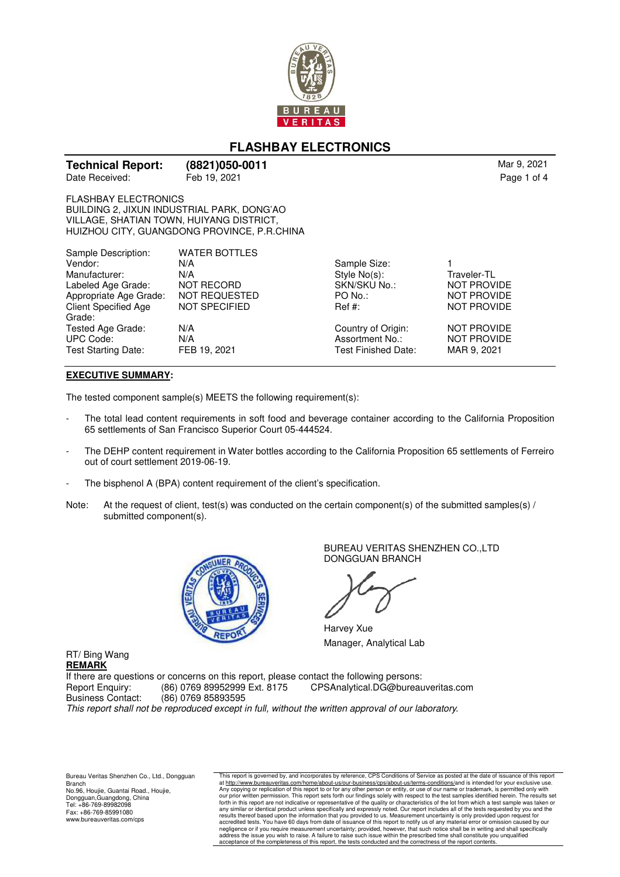

# **FLASHBAY ELECTRONICS**

| <b>Technical Report:</b> | (8821)050-0011 | Mar 9, 2021 |
|--------------------------|----------------|-------------|
| Date Received:           | Feb 19. 2021   | Page 1 of 4 |

FLASHBAY ELECTRONICS BUILDING 2, JIXUN INDUSTRIAL PARK, DONG'AO VILLAGE, SHATIAN TOWN, HUIYANG DISTRICT, HUIZHOU CITY, GUANGDONG PROVINCE, P.R.CHINA

| <b>WATER BOTTLES</b> |                            |                    |
|----------------------|----------------------------|--------------------|
| N/A                  | Sample Size:               |                    |
| N/A                  | Style No(s):               | Traveler-TL        |
| NOT RECORD           | SKN/SKU No.:               | <b>NOT PROVIDE</b> |
| <b>NOT REQUESTED</b> | $PO$ No.:                  | <b>NOT PROVIDE</b> |
| <b>NOT SPECIFIED</b> | $\text{Ref } #:$           | <b>NOT PROVIDE</b> |
|                      |                            |                    |
| N/A                  | Country of Origin:         | <b>NOT PROVIDE</b> |
| N/A                  | Assortment No.:            | <b>NOT PROVIDE</b> |
| FEB 19, 2021         | <b>Test Finished Date:</b> | MAR 9, 2021        |
|                      |                            |                    |

### **EXECUTIVE SUMMARY:**

The tested component sample(s) MEETS the following requirement(s):

- The total lead content requirements in soft food and beverage container according to the California Proposition 65 settlements of San Francisco Superior Court 05-444524.
- The DEHP content requirement in Water bottles according to the California Proposition 65 settlements of Ferreiro out of court settlement 2019-06-19.
- The bisphenol A (BPA) content requirement of the client's specification.
- Note: At the request of client, test(s) was conducted on the certain component(s) of the submitted samples(s) / submitted component(s).



BUREAU VERITAS SHENZHEN CO.,LTD DONGGUAN BRANCH

Harvey Xue Manager, Analytical Lab

#### RT/ Bing Wang **REMARK**

If there are questions or concerns on this report, please contact the following persons:<br>Report Enguiry: (86) 0769 89952999 Ext. 8175 CPSAnalytical.DG@bureau Report Enquiry: (86) 0769 89952999 Ext. 8175 CPSAnalytical.DG@bureauveritas.com Business Contact: (86) 0769 85893595 This report shall not be reproduced except in full, without the written approval of our laboratory.

Bureau Veritas Shenzhen Co., Ltd., Dongguan Branch No.96, Houjie, Guantai Road., Houjie, Dongguan,Guangdong, China Tel: +86-769-89982098 Fax: +86-769-85991080 www.bureauveritas.com/cps

This report is governed by, and incorporates by reference, CPS Conditions of Service as posted at the date of issuance of this report<br>at http://www.bureauveritas.com/home/about-us/our-business/cps/about-us/flerms-condition accredited tests. You have 60 days from date of issuance of this report to notify us of any material error or omission caused by our<br>negligence or if you require measurement uncertainty; provided, however, that such notice acceptance of the completeness of this report, the tests conducted and the correctness of the report contents.

**Technical Report: (8821)050-0011** Mar 9, 2021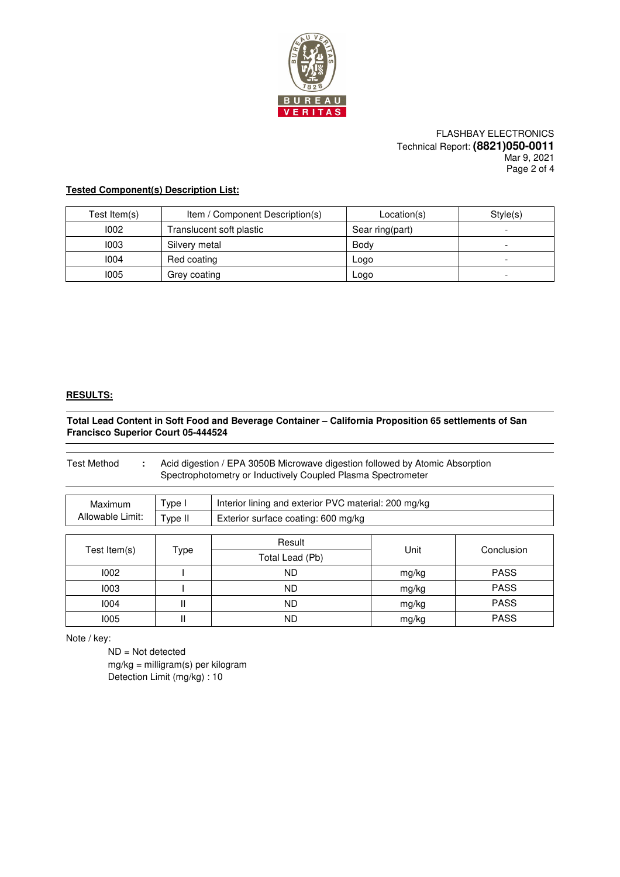

FLASHBAY ELECTRONICS Technical Report: **(8821)050-0011** Mar 9, 2021 Page 2 of 4

## **Tested Component(s) Description List:**

| Test Item(s) | Item / Component Description(s) | Location(s)     | Stvle(s)                 |
|--------------|---------------------------------|-----------------|--------------------------|
| 1002         | Translucent soft plastic        | Sear ring(part) | -                        |
| 1003         | Silvery metal                   | Body            | -                        |
| 1004         | Red coating                     | ∟ogo            | -                        |
| 1005         | Grey coating                    | ∟ogo            | $\overline{\phantom{0}}$ |

## **RESULTS:**

**Total Lead Content in Soft Food and Beverage Container – California Proposition 65 settlements of San Francisco Superior Court 05-444524** 

| Test Method      | Acid digestion / EPA 3050B Microwave digestion followed by Atomic Absorption<br>Spectrophotometry or Inductively Coupled Plasma Spectrometer |                                                      |       |             |
|------------------|----------------------------------------------------------------------------------------------------------------------------------------------|------------------------------------------------------|-------|-------------|
| Maximum          | Type I                                                                                                                                       | Interior lining and exterior PVC material: 200 mg/kg |       |             |
| Allowable Limit: | Type II                                                                                                                                      | Exterior surface coating: 600 mg/kg                  |       |             |
|                  |                                                                                                                                              |                                                      |       |             |
| Test Item(s)     | Type                                                                                                                                         | Result                                               | Unit  | Conclusion  |
|                  |                                                                                                                                              | Total Lead (Pb)                                      |       |             |
| 1002             |                                                                                                                                              | <b>ND</b>                                            | mg/kg | <b>PASS</b> |
| 1003             |                                                                                                                                              | <b>ND</b>                                            | mg/kg | <b>PASS</b> |
| 1004             |                                                                                                                                              | ND                                                   | mg/kg | <b>PASS</b> |
| 1005             |                                                                                                                                              | <b>ND</b>                                            | mg/kg | <b>PASS</b> |

Note / key:

 ND = Not detected mg/kg = milligram(s) per kilogram Detection Limit (mg/kg) : 10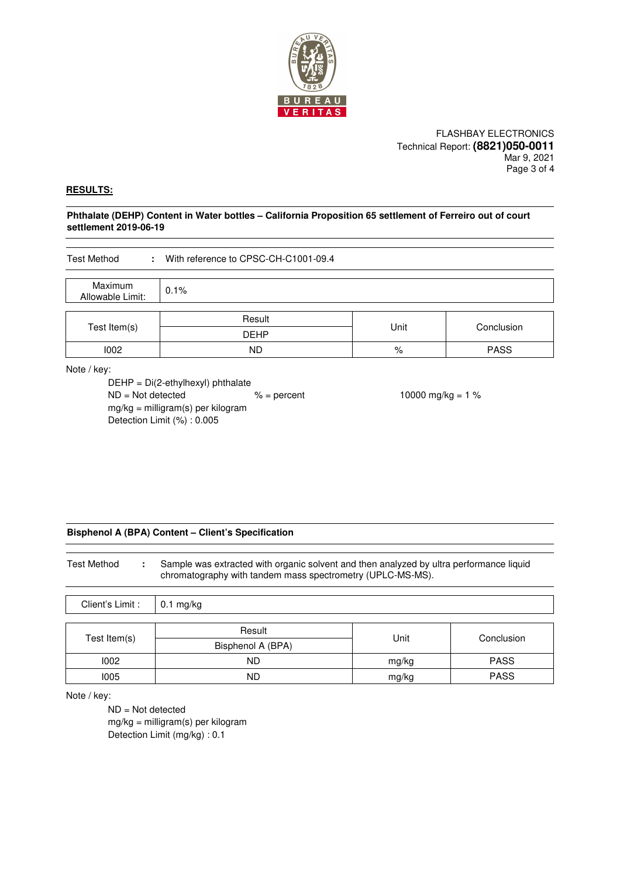

FLASHBAY ELECTRONICS Technical Report: **(8821)050-0011** Mar 9, 2021 Page 3 of 4

### **RESULTS:**

#### **Phthalate (DEHP) Content in Water bottles – California Proposition 65 settlement of Ferreiro out of court settlement 2019-06-19**

| <b>Test Method</b>          | : With reference to CPSC-CH-C1001-09.4 |      |             |
|-----------------------------|----------------------------------------|------|-------------|
| Maximum<br>Allowable Limit: | 0.1%                                   |      |             |
|                             | Result                                 |      |             |
| Test Item(s)                | <b>DEHP</b>                            | Unit | Conclusion  |
| 1002                        | <b>ND</b>                              | %    | <b>PASS</b> |

Note / key:

 DEHP = Di(2-ethylhexyl) phthalate  $ND = Not detected$  % = percent 10000 mg/kg = 1 % mg/kg = milligram(s) per kilogram Detection Limit (%) : 0.005

### **Bisphenol A (BPA) Content – Client's Specification**

Test Method **:** Sample was extracted with organic solvent and then analyzed by ultra performance liquid chromatography with tandem mass spectrometry (UPLC-MS-MS).

| Client's Limit : | $0.1 \text{ mg/kg}$ |       |             |
|------------------|---------------------|-------|-------------|
|                  |                     |       |             |
| Test Item(s)     | Result              | Unit  | Conclusion  |
|                  | Bisphenol A (BPA)   |       |             |
| 1002             | ND                  | mg/kg | <b>PASS</b> |
| 1005             | ND                  | mg/kg | <b>PASS</b> |

Note / key:

 ND = Not detected mg/kg = milligram(s) per kilogram Detection Limit (mg/kg) : 0.1